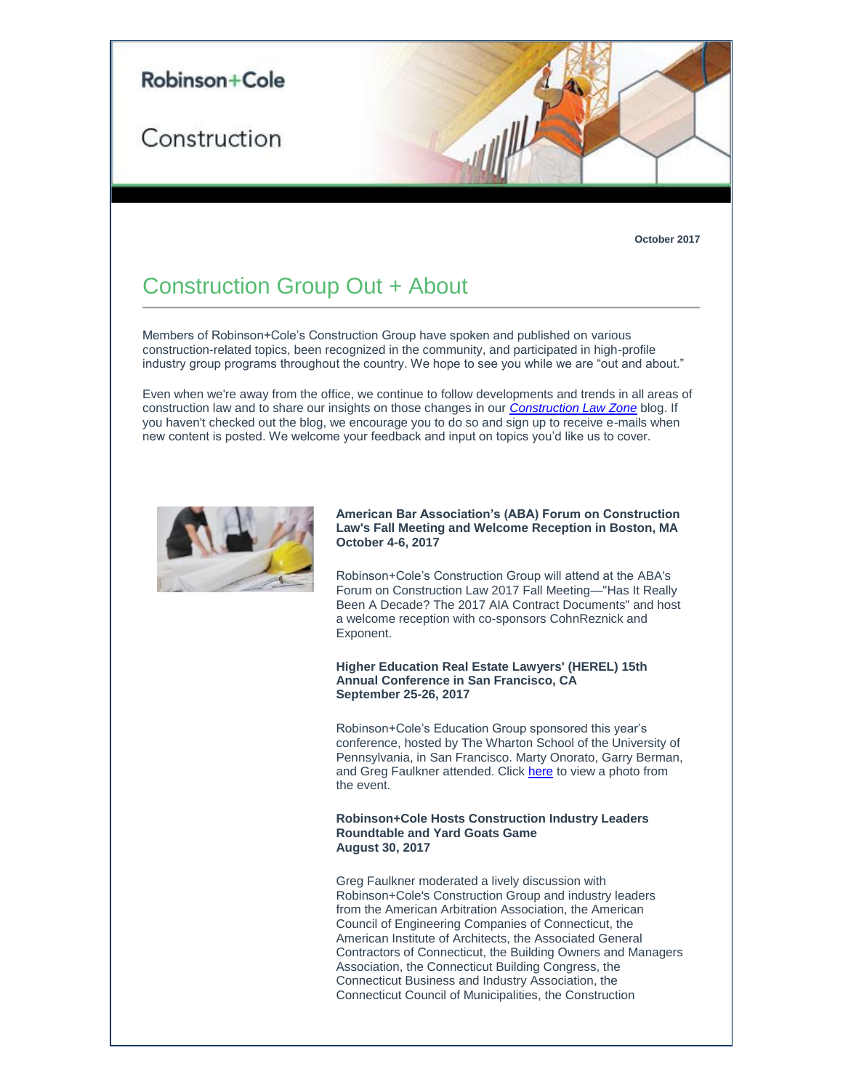

#### **October 2017**

# Construction Group Out + About

Members of Robinson+Cole's Construction Group have spoken and published on various construction-related topics, been recognized in the community, and participated in high-profile industry group programs throughout the country. We hope to see you while we are "out and about."

Even when we're away from the office, we continue to follow developments and trends in all areas of construction law and to share our insights on those changes in our *[Construction Law Zone](http://t2806904.omkt.co/track.aspx?id=402|2AD478|6F10|6AAA|1937|0|3F7E|1|701570FA&destination=https%3a%2f%2fwww.constructionlawzone.com%2f&dchk=3A18ADA2)* blog. If you haven't checked out the blog, we encourage you to do so and sign up to receive e-mails when new content is posted. We welcome your feedback and input on topics you'd like us to cover.



## **American Bar Association's (ABA) Forum on Construction Law's Fall Meeting and Welcome Reception in Boston, MA October 4-6, 2017**

Robinson+Cole's Construction Group will attend at the ABA's Forum on Construction Law 2017 Fall Meeting—"Has It Really Been A Decade? The 2017 AIA Contract Documents" and host a welcome reception with co-sponsors CohnReznick and Exponent.

## **Higher Education Real Estate Lawyers' (HEREL) 15th Annual Conference in San Francisco, CA September 25-26, 2017**

Robinson+Cole's Education Group sponsored this year's conference, hosted by The Wharton School of the University of Pennsylvania, in San Francisco. Marty Onorato, Garry Berman, and Greg Faulkner attended. Click [here](http://t2806904.omkt.co/track.aspx?id=402|2AD478|6F10|6AAA|1937|0|3F7F|1|701570FA&destination=http%3a%2f%2fwww.rc.com%2fupload%2fLLCN_HEREL-2017.pdf%3futm_source%3dVocus%26utm_medium%3demail%26utm_campaign%3dRobinson%2b%2526%2bCole%2bLLP%26utm_content%3dLLCN%2bGroup%2bOut%2b%2bAbout%2b%2bOctober%2b2017%2bRCSend&dchk=61D5EF59) to view a photo from the event.

#### **Robinson+Cole Hosts Construction Industry Leaders Roundtable and Yard Goats Game August 30, 2017**

Greg Faulkner moderated a lively discussion with Robinson+Cole's Construction Group and industry leaders from the American Arbitration Association, the American Council of Engineering Companies of Connecticut, the American Institute of Architects, the Associated General Contractors of Connecticut, the Building Owners and Managers Association, the Connecticut Building Congress, the Connecticut Business and Industry Association, the Connecticut Council of Municipalities, the Construction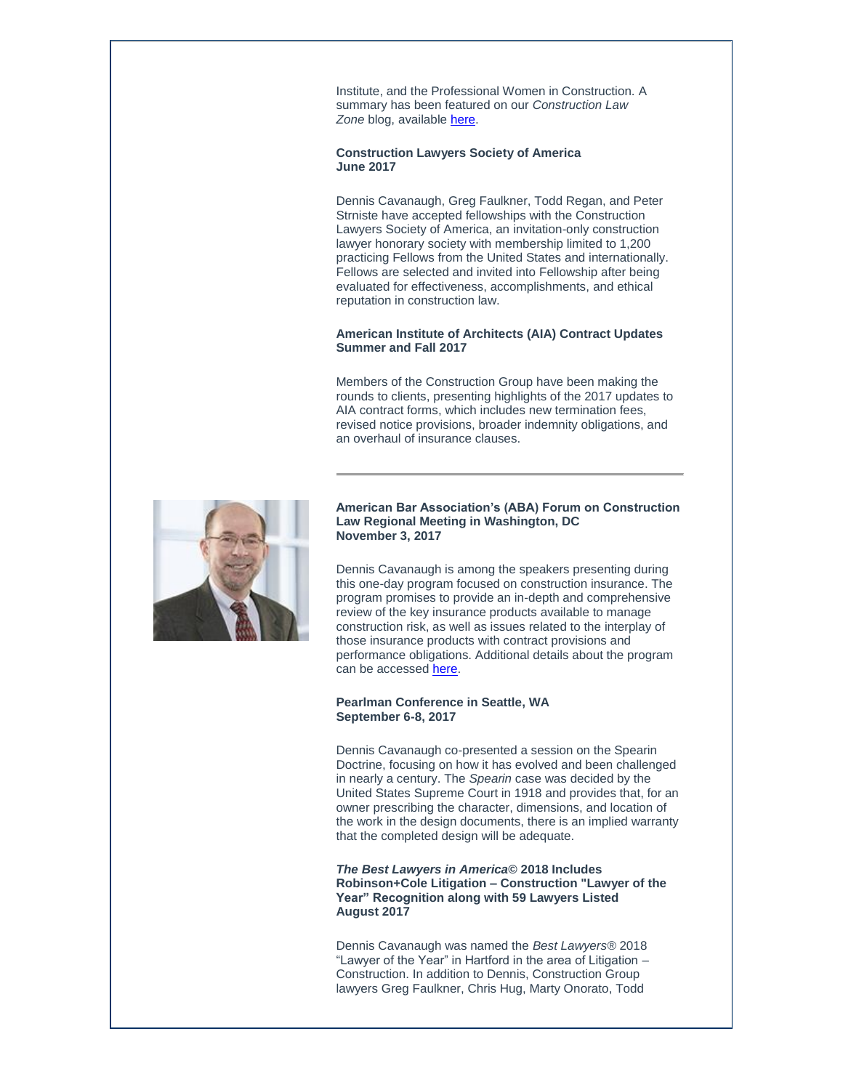Institute, and the Professional Women in Construction. A summary has been featured on our *Construction Law Zone* blog, available [here.](http://t2806904.omkt.co/track.aspx?id=402|2AD478|6F10|6AAA|1937|0|3F80|1|701570FA&destination=http%3a%2f%2fwww.constructionlawzone.com%2f2017%2f09%2frobinsoncole-hosts-industry-leaders-roundtable-discussion%2f&dchk=AD6E531)

## **Construction Lawyers Society of America June 2017**

Dennis Cavanaugh, Greg Faulkner, Todd Regan, and Peter Strniste have accepted fellowships with the Construction Lawyers Society of America, an invitation-only construction lawyer honorary society with membership limited to 1,200 practicing Fellows from the United States and internationally. Fellows are selected and invited into Fellowship after being evaluated for effectiveness, accomplishments, and ethical reputation in construction law.

## **American Institute of Architects (AIA) Contract Updates Summer and Fall 2017**

Members of the Construction Group have been making the rounds to clients, presenting highlights of the 2017 updates to AIA contract forms, which includes new termination fees, revised notice provisions, broader indemnity obligations, and an overhaul of insurance clauses.



### **American Bar Association's (ABA) Forum on Construction Law Regional Meeting in Washington, DC November 3, 2017**

Dennis Cavanaugh is among the speakers presenting during this one-day program focused on construction insurance. The program promises to provide an in-depth and comprehensive review of the key insurance products available to manage construction risk, as well as issues related to the interplay of those insurance products with contract provisions and performance obligations. Additional details about the program can be accessed [here.](http://t2806904.omkt.co/track.aspx?id=402|2AD478|6F10|6AAA|1937|0|3F82|1|701570FA&destination=https%3a%2f%2fwww.americanbar.org%2fcontent%2fdam%2faba%2fdirectories%2fconstruction_industry_knowledge_base%2fmeetings%2f2017-fall-regionals%2f2017-regional-brochure-spread.authcheckdam.pdf&dchk=5D12AFD0)

## **Pearlman Conference in Seattle, WA September 6-8, 2017**

Dennis Cavanaugh co-presented a session on the Spearin Doctrine, focusing on how it has evolved and been challenged in nearly a century. The *Spearin* case was decided by the United States Supreme Court in 1918 and provides that, for an owner prescribing the character, dimensions, and location of the work in the design documents, there is an implied warranty that the completed design will be adequate.

*The Best Lawyers in America©* **2018 Includes Robinson+Cole Litigation – Construction "Lawyer of the Year" Recognition along with 59 Lawyers Listed August 2017**

Dennis Cavanaugh was named the *Best Lawyers®* 2018 "Lawyer of the Year" in Hartford in the area of Litigation – Construction. In addition to Dennis, Construction Group lawyers Greg Faulkner, Chris Hug, Marty Onorato, Todd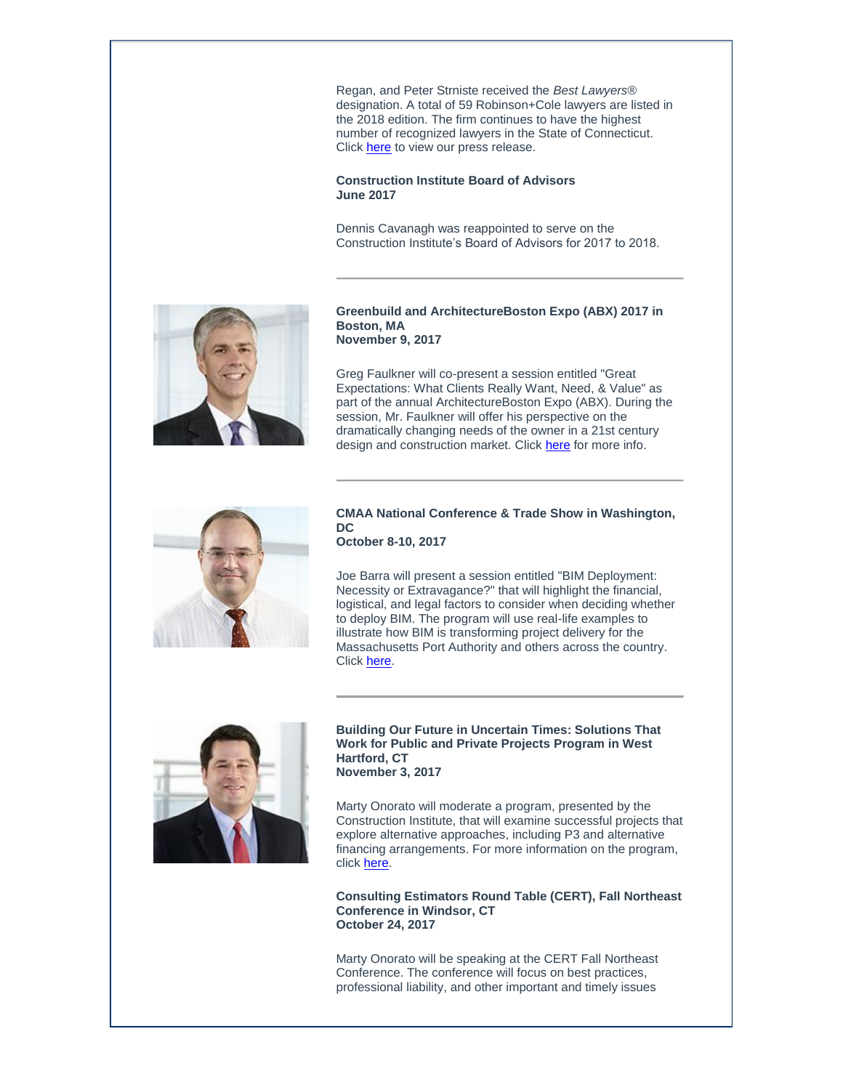Regan, and Peter Strniste received the *Best Lawyers*® designation. A total of 59 Robinson+Cole lawyers are listed in the 2018 edition. The firm continues to have the highest number of recognized lawyers in the State of Connecticut. Click [here](http://t2806904.omkt.co/track.aspx?id=402|2AD478|6F10|6AAA|1937|0|3F83|1|701570FA&destination=http%3a%2f%2fwww.rc.com%2fupload%2fPress-Release_Best-Lawyers-2017_8-15-17.pdf%3futm_source%3dVocus%26utm_medium%3demail%26utm_campaign%3dRobinson%2b%2526%2bCole%2bLLP%26utm_content%3dLLCN%2bGroup%2bOut%2b%2bAbout%2b%2bOctober%2b2017%2bRCSend&dchk=5B05F4F6) to view our press release.

**Construction Institute Board of Advisors June 2017**

Dennis Cavanagh was reappointed to serve on the Construction Institute's Board of Advisors for 2017 to 2018.



**Greenbuild and ArchitectureBoston Expo (ABX) 2017 in Boston, MA November 9, 2017**

Greg Faulkner will co-present a session entitled "Great Expectations: What Clients Really Want, Need, & Value" as part of the annual ArchitectureBoston Expo (ABX). During the session, Mr. Faulkner will offer his perspective on the dramatically changing needs of the owner in a 21st century design and construction market. Click [here](http://t2806904.omkt.co/track.aspx?id=402|2AD478|6F10|6AAA|1937|0|3F85|1|701570FA&destination=https%3a%2f%2fexplore.greenbuildexpo.com%2fAttendee%2fSchedule%2fSessionDetails%2f43930&dchk=671A6CF5) for more info.



### **CMAA National Conference & Trade Show in Washington, DC October 8-10, 2017**

Joe Barra will present a session entitled "BIM Deployment: Necessity or Extravagance?" that will highlight the financial, logistical, and legal factors to consider when deciding whether to deploy BIM. The program will use real-life examples to illustrate how BIM is transforming project delivery for the Massachusetts Port Authority and others across the country. Click [here.](http://t2806904.omkt.co/track.aspx?id=402|2AD478|6F10|6AAA|1937|0|3F86|1|701570FA&destination=http%3a%2f%2fnationalconference.cmaanet.org%2findex.html&dchk=7E2CCF0B)



**Building Our Future in Uncertain Times: Solutions That Work for Public and Private Projects Program in West Hartford, CT November 3, 2017**

Marty Onorato will moderate a program, presented by the Construction Institute, that will examine successful projects that explore alternative approaches, including P3 and alternative financing arrangements. For more information on the program, click [here.](http://t2806904.omkt.co/track.aspx?id=402|2AD478|6F10|6AAA|1937|0|3F88|1|701570FA&destination=http%3a%2f%2fconstruction.org%2fevents%2fEventDetails.aspx%3fid%3d995525%26group&dchk=21327D44)

**Consulting Estimators Round Table (CERT), Fall Northeast Conference in Windsor, CT October 24, 2017**

Marty Onorato will be speaking at the CERT Fall Northeast Conference. The conference will focus on best practices, professional liability, and other important and timely issues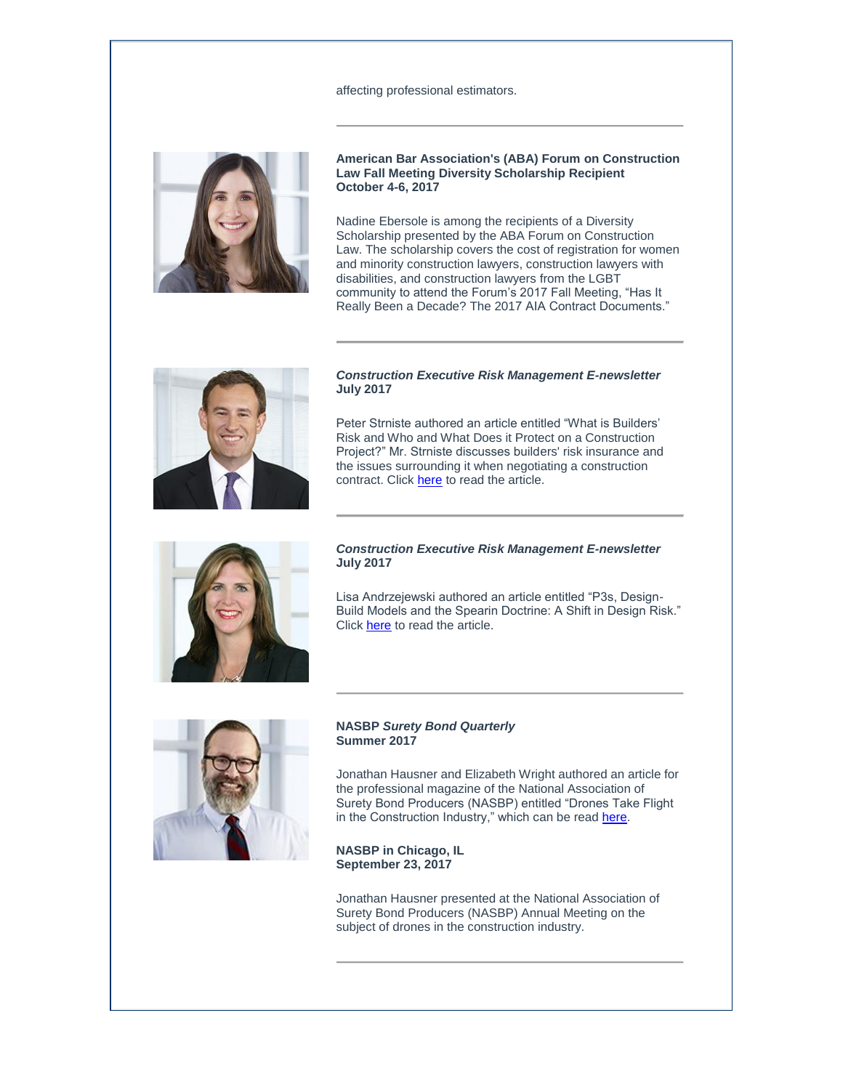### affecting professional estimators.



**American Bar Association's (ABA) Forum on Construction Law Fall Meeting Diversity Scholarship Recipient October 4-6, 2017**

Nadine Ebersole is among the recipients of a Diversity Scholarship presented by the ABA Forum on Construction Law. The scholarship covers the cost of registration for women and minority construction lawyers, construction lawyers with disabilities, and construction lawyers from the LGBT community to attend the Forum's 2017 Fall Meeting, "Has It Really Been a Decade? The 2017 AIA Contract Documents."



#### *Construction Executive Risk Management E-newsletter* **July 2017**

Peter Strniste authored an article entitled "What is Builders' Risk and Who and What Does it Protect on a Construction Project?" Mr. Strniste discusses builders' risk insurance and the issues surrounding it when negotiating a construction contract. Click [here](http://t2806904.omkt.co/track.aspx?id=402|2AD478|6F10|6AAA|1937|0|3F89|1|701570FA&destination=http%3a%2f%2fenewsletters.constructionexec.com%2friskmanagement%2f2017%2f07%2fwhat-is-builders-risk-and-who-and-what-does-it-protect-on-a-construction-project%2f&dchk=7C30BC17) to read the article.



### *Construction Executive Risk Management E-newsletter* **July 2017**

Lisa Andrzejewski authored an article entitled "P3s, Design-Build Models and the Spearin Doctrine: A Shift in Design Risk." Click [here](http://t2806904.omkt.co/track.aspx?id=402|2AD478|6F10|6AAA|1937|0|3F8A|1|701570FA&destination=http%3a%2f%2fenewsletters.constructionexec.com%2friskmanagement%2f2017%2f07%2fp3s-design-build-models-and-the-spearin-doctrine-a-shift-in-design-risk%2f&dchk=7CFE0239) to read the article.



## **NASBP** *Surety Bond Quarterly* **Summer 2017**

Jonathan Hausner and Elizabeth Wright authored an article for the professional magazine of the National Association of Surety Bond Producers (NASBP) entitled "Drones Take Flight in the Construction Industry," which can be read [here.](http://t2806904.omkt.co/track.aspx?id=402|2AD478|6F10|6AAA|1937|0|3F8C|1|701570FA&destination=http%3a%2f%2fwww.nxtbook.com%2fnaylor%2fSBPQ%2fSBPQ0217%2findex.php%3fstartid%3d22%23%2f22&dchk=6720A419)

**NASBP in Chicago, IL September 23, 2017**

Jonathan Hausner presented at the National Association of Surety Bond Producers (NASBP) Annual Meeting on the subject of drones in the construction industry.